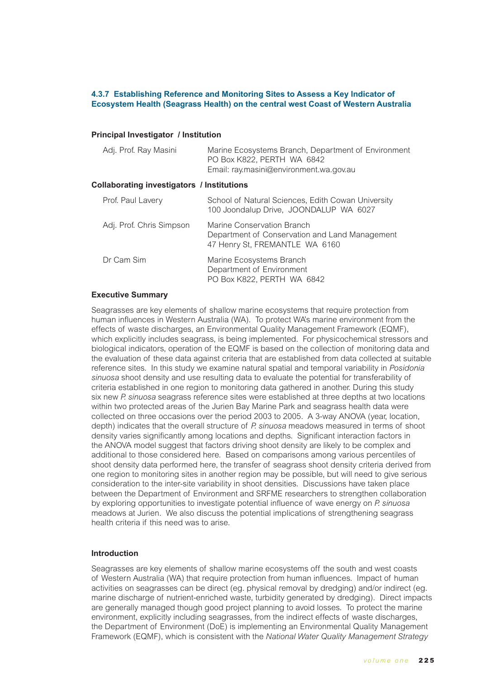## **4.3.7 Establishing Reference and Monitoring Sites to Assess a Key Indicator of Ecosystem Health (Seagrass Health) on the central west Coast of Western Australia**

### **Principal Investigator / Institution**

| Adj. Prof. Ray Masini                      | Marine Ecosystems Branch, Department of Environment<br>PO Box K822, PERTH WA 6842<br>Email: ray.masini@environment.wa.gov.au |
|--------------------------------------------|------------------------------------------------------------------------------------------------------------------------------|
| Collaborating investigators / Institutions |                                                                                                                              |
| Prof. Paul Lavery                          | School of Natural Sciences, Edith Cowan University<br>100 Joondalup Drive, JOONDALUP WA 6027                                 |
| Adj. Prof. Chris Simpson                   | Marine Conservation Branch<br>Department of Conservation and Land Management<br>47 Henry St, FREMANTLE WA 6160               |
| Dr Cam Sim                                 | Marine Ecosystems Branch<br>Department of Environment<br>PO Box K822, PERTH WA 6842                                          |

### **Executive Summary**

Seagrasses are key elements of shallow marine ecosystems that require protection from human influences in Western Australia (WA). To protect WA's marine environment from the effects of waste discharges, an Environmental Quality Management Framework (EQMF), which explicitly includes seagrass, is being implemented. For physicochemical stressors and biological indicators, operation of the EQMF is based on the collection of monitoring data and the evaluation of these data against criteria that are established from data collected at suitable reference sites. In this study we examine natural spatial and temporal variability in *Posidonia sinuosa* shoot density and use resulting data to evaluate the potential for transferability of criteria established in one region to monitoring data gathered in another. During this study six new *P. sinuosa* seagrass reference sites were established at three depths at two locations within two protected areas of the Jurien Bay Marine Park and seagrass health data were collected on three occasions over the period 2003 to 2005. A 3-way ANOVA (year, location, depth) indicates that the overall structure of *P. sinuosa* meadows measured in terms of shoot density varies significantly among locations and depths. Significant interaction factors in the ANOVA model suggest that factors driving shoot density are likely to be complex and additional to those considered here. Based on comparisons among various percentiles of shoot density data performed here, the transfer of seagrass shoot density criteria derived from one region to monitoring sites in another region may be possible, but will need to give serious consideration to the inter-site variability in shoot densities. Discussions have taken place between the Department of Environment and SRFME researchers to strengthen collaboration by exploring opportunities to investigate potential influence of wave energy on *P. sinuosa* meadows at Jurien. We also discuss the potential implications of strengthening seagrass health criteria if this need was to arise.

### **Introduction**

Seagrasses are key elements of shallow marine ecosystems off the south and west coasts of Western Australia (WA) that require protection from human influences. Impact of human activities on seagrasses can be direct (eg. physical removal by dredging) and/or indirect (eg. marine discharge of nutrient-enriched waste, turbidity generated by dredging). Direct impacts are generally managed though good project planning to avoid losses. To protect the marine environment, explicitly including seagrasses, from the indirect effects of waste discharges, the Department of Environment (DoE) is implementing an Environmental Quality Management Framework (EQMF), which is consistent with the *National Water Quality Management Strategy*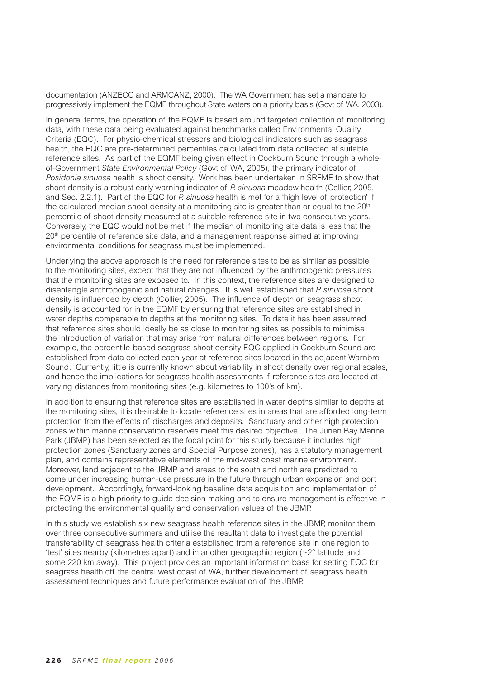documentation (ANZECC and ARMCANZ, 2000). The WA Government has set a mandate to progressively implement the EQMF throughout State waters on a priority basis (Govt of WA, 2003).

In general terms, the operation of the EQMF is based around targeted collection of monitoring data, with these data being evaluated against benchmarks called Environmental Quality Criteria (EQC). For physio-chemical stressors and biological indicators such as seagrass health, the EQC are pre-determined percentiles calculated from data collected at suitable reference sites. As part of the EQMF being given effect in Cockburn Sound through a wholeof-Government *State Environmental Policy* (Govt of WA, 2005), the primary indicator of *Posidonia sinuosa* health is shoot density. Work has been undertaken in SRFME to show that shoot density is a robust early warning indicator of *P. sinuosa* meadow health (Collier, 2005, and Sec. 2.2.1). Part of the EQC for *P. sinuosa* health is met for a 'high level of protection' if the calculated median shoot density at a monitoring site is greater than or equal to the  $20<sup>th</sup>$ percentile of shoot density measured at a suitable reference site in two consecutive years. Conversely, the EQC would not be met if the median of monitoring site data is less that the  $20<sup>th</sup>$  percentile of reference site data, and a management response aimed at improving environmental conditions for seagrass must be implemented.

Underlying the above approach is the need for reference sites to be as similar as possible to the monitoring sites, except that they are not influenced by the anthropogenic pressures that the monitoring sites are exposed to. In this context, the reference sites are designed to disentangle anthropogenic and natural changes. It is well established that *P. sinuosa* shoot density is influenced by depth (Collier, 2005). The influence of depth on seagrass shoot density is accounted for in the EQMF by ensuring that reference sites are established in water depths comparable to depths at the monitoring sites. To date it has been assumed that reference sites should ideally be as close to monitoring sites as possible to minimise the introduction of variation that may arise from natural differences between regions. For example, the percentile-based seagrass shoot density EQC applied in Cockburn Sound are established from data collected each year at reference sites located in the adjacent Warnbro Sound. Currently, little is currently known about variability in shoot density over regional scales, and hence the implications for seagrass health assessments if reference sites are located at varying distances from monitoring sites (e.g. kilometres to 100's of km).

In addition to ensuring that reference sites are established in water depths similar to depths at the monitoring sites, it is desirable to locate reference sites in areas that are afforded long-term protection from the effects of discharges and deposits. Sanctuary and other high protection zones within marine conservation reserves meet this desired objective. The Jurien Bay Marine Park (JBMP) has been selected as the focal point for this study because it includes high protection zones (Sanctuary zones and Special Purpose zones), has a statutory management plan, and contains representative elements of the mid-west coast marine environment. Moreover, land adjacent to the JBMP and areas to the south and north are predicted to come under increasing human-use pressure in the future through urban expansion and port development. Accordingly, forward-looking baseline data acquisition and implementation of the EQMF is a high priority to guide decision-making and to ensure management is effective in protecting the environmental quality and conservation values of the JBMP.

In this study we establish six new seagrass health reference sites in the JBMP, monitor them over three consecutive summers and utilise the resultant data to investigate the potential transferability of seagrass health criteria established from a reference site in one region to 'test' sites nearby (kilometres apart) and in another geographic region (~2° latitude and some 220 km away). This project provides an important information base for setting EQC for seagrass health off the central west coast of WA, further development of seagrass health assessment techniques and future performance evaluation of the JBMP.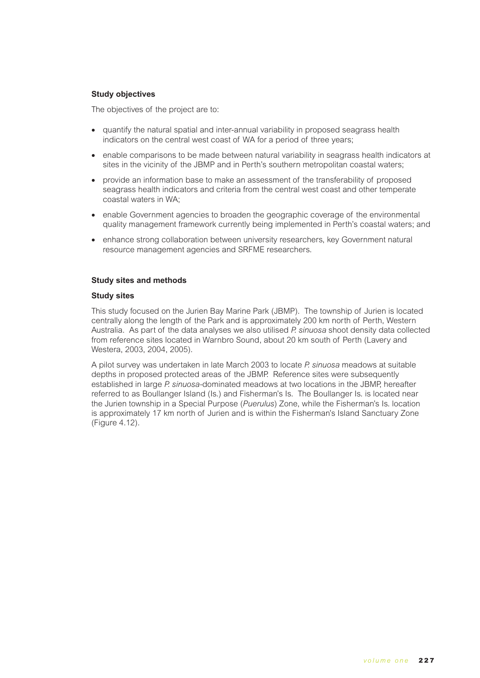# **Study objectives**

The objectives of the project are to:

- quantify the natural spatial and inter-annual variability in proposed seagrass health indicators on the central west coast of WA for a period of three years;
- enable comparisons to be made between natural variability in seagrass health indicators at sites in the vicinity of the JBMP and in Perth's southern metropolitan coastal waters;
- provide an information base to make an assessment of the transferability of proposed seagrass health indicators and criteria from the central west coast and other temperate coastal waters in WA;
- enable Government agencies to broaden the geographic coverage of the environmental quality management framework currently being implemented in Perth's coastal waters; and
- enhance strong collaboration between university researchers, key Government natural resource management agencies and SRFME researchers.

### **Study sites and methods**

### **Study sites**

This study focused on the Jurien Bay Marine Park (JBMP). The township of Jurien is located centrally along the length of the Park and is approximately 200 km north of Perth, Western Australia. As part of the data analyses we also utilised *P. sinuosa* shoot density data collected from reference sites located in Warnbro Sound, about 20 km south of Perth (Lavery and Westera, 2003, 2004, 2005).

A pilot survey was undertaken in late March 2003 to locate *P. sinuosa* meadows at suitable depths in proposed protected areas of the JBMP. Reference sites were subsequently established in large *P. sinuosa-*dominated meadows at two locations in the JBMP, hereafter referred to as Boullanger Island (Is.) and Fisherman's Is. The Boullanger Is. is located near the Jurien township in a Special Purpose (*Puerulus*) Zone, while the Fisherman's Is. location is approximately 17 km north of Jurien and is within the Fisherman's Island Sanctuary Zone (Figure 4.12).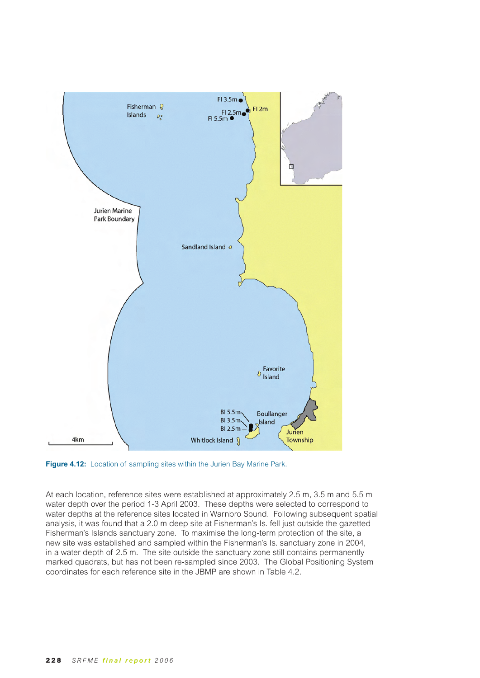

**Figure 4.12:** Location of sampling sites within the Jurien Bay Marine Park.

At each location, reference sites were established at approximately 2.5 m, 3.5 m and 5.5 m water depth over the period 1-3 April 2003. These depths were selected to correspond to water depths at the reference sites located in Warnbro Sound. Following subsequent spatial analysis, it was found that a 2.0 m deep site at Fisherman's Is. fell just outside the gazetted Fisherman's Islands sanctuary zone. To maximise the long-term protection of the site, a new site was established and sampled within the Fisherman's Is. sanctuary zone in 2004, in a water depth of 2.5 m. The site outside the sanctuary zone still contains permanently marked quadrats, but has not been re-sampled since 2003. The Global Positioning System coordinates for each reference site in the JBMP are shown in Table 4.2.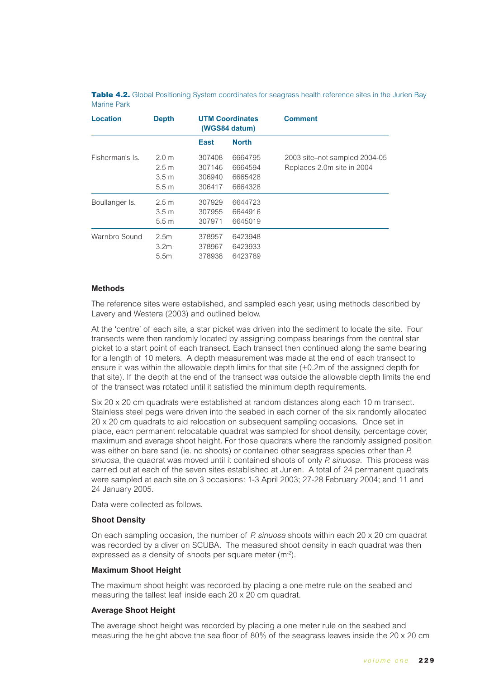| <b>Location</b> | <b>Depth</b>                                                      |                                      | <b>UTM Coordinates</b><br>(WGS84 datum)  | <b>Comment</b>                                              |
|-----------------|-------------------------------------------------------------------|--------------------------------------|------------------------------------------|-------------------------------------------------------------|
|                 |                                                                   | <b>East</b>                          | <b>North</b>                             |                                                             |
| Fisherman's Is. | 2.0 m<br>2.5 <sub>m</sub><br>3.5 <sub>m</sub><br>5.5 <sub>m</sub> | 307408<br>307146<br>306940<br>306417 | 6664795<br>6664594<br>6665428<br>6664328 | 2003 site–not sampled 2004-05<br>Replaces 2.0m site in 2004 |
| Boullanger Is.  | 2.5 <sub>m</sub><br>3.5 <sub>m</sub><br>5.5 <sub>m</sub>          | 307929<br>307955<br>307971           | 6644723<br>6644916<br>6645019            |                                                             |
| Warnbro Sound   | 2.5m<br>3.2 <sub>m</sub><br>5.5m                                  | 378957<br>378967<br>378938           | 6423948<br>6423933<br>6423789            |                                                             |

Table 4.2. Global Positioning System coordinates for seagrass health reference sites in the Jurien Bay Marine Park

## **Methods**

The reference sites were established, and sampled each year, using methods described by Lavery and Westera (2003) and outlined below.

At the 'centre' of each site, a star picket was driven into the sediment to locate the site. Four transects were then randomly located by assigning compass bearings from the central star picket to a start point of each transect. Each transect then continued along the same bearing for a length of 10 meters. A depth measurement was made at the end of each transect to ensure it was within the allowable depth limits for that site  $(\pm 0.2m)$  of the assigned depth for that site). If the depth at the end of the transect was outside the allowable depth limits the end of the transect was rotated until it satisfied the minimum depth requirements.

Six 20 x 20 cm quadrats were established at random distances along each 10 m transect. Stainless steel pegs were driven into the seabed in each corner of the six randomly allocated 20 x 20 cm quadrats to aid relocation on subsequent sampling occasions. Once set in place, each permanent relocatable quadrat was sampled for shoot density, percentage cover, maximum and average shoot height. For those quadrats where the randomly assigned position was either on bare sand (ie. no shoots) or contained other seagrass species other than *P. sinuosa*, the quadrat was moved until it contained shoots of only *P. sinuosa*. This process was carried out at each of the seven sites established at Jurien. A total of 24 permanent quadrats were sampled at each site on 3 occasions: 1-3 April 2003; 27-28 February 2004; and 11 and 24 January 2005.

Data were collected as follows.

### **Shoot Density**

On each sampling occasion, the number of *P. sinuosa* shoots within each 20 x 20 cm quadrat was recorded by a diver on SCUBA. The measured shoot density in each quadrat was then expressed as a density of shoots per square meter (m<sup>-2</sup>).

### **Maximum Shoot Height**

The maximum shoot height was recorded by placing a one metre rule on the seabed and measuring the tallest leaf inside each 20 x 20 cm quadrat.

### **Average Shoot Height**

The average shoot height was recorded by placing a one meter rule on the seabed and measuring the height above the sea floor of 80% of the seagrass leaves inside the 20 x 20 cm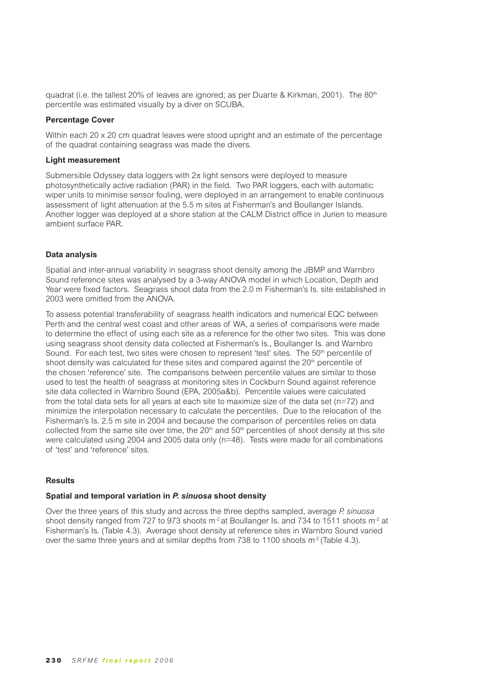quadrat (i.e. the tallest 20% of leaves are ignored; as per Duarte & Kirkman, 2001). The 80<sup>th</sup> percentile was estimated visually by a diver on SCUBA.

### **Percentage Cover**

Within each 20 x 20 cm quadrat leaves were stood upright and an estimate of the percentage of the quadrat containing seagrass was made the divers.

### **Light measurement**

Submersible Odyssey data loggers with  $2\pi$  light sensors were deployed to measure photosynthetically active radiation (PAR) in the field. Two PAR loggers, each with automatic wiper units to minimise sensor fouling, were deployed in an arrangement to enable continuous assessment of light attenuation at the 5.5 m sites at Fisherman's and Boullanger Islands. Another logger was deployed at a shore station at the CALM District office in Jurien to measure ambient surface PAR.

## **Data analysis**

Spatial and inter-annual variability in seagrass shoot density among the JBMP and Warnbro Sound reference sites was analysed by a 3-way ANOVA model in which Location, Depth and Year were fixed factors. Seagrass shoot data from the 2.0 m Fisherman's Is. site established in 2003 were omitted from the ANOVA.

To assess potential transferability of seagrass health indicators and numerical EQC between Perth and the central west coast and other areas of WA, a series of comparisons were made to determine the effect of using each site as a reference for the other two sites. This was done using seagrass shoot density data collected at Fisherman's Is., Boullanger Is. and Warnbro Sound. For each test, two sites were chosen to represent 'test' sites. The  $50<sup>th</sup>$  percentile of shoot density was calculated for these sites and compared against the  $20<sup>th</sup>$  percentile of the chosen 'reference' site. The comparisons between percentile values are similar to those used to test the health of seagrass at monitoring sites in Cockburn Sound against reference site data collected in Warnbro Sound (EPA, 2005a&b). Percentile values were calculated from the total data sets for all years at each site to maximize size of the data set ( $n=72$ ) and minimize the interpolation necessary to calculate the percentiles. Due to the relocation of the Fisherman's Is. 2.5 m site in 2004 and because the comparison of percentiles relies on data collected from the same site over time, the 20<sup>th</sup> and 50<sup>th</sup> percentiles of shoot density at this site were calculated using 2004 and 2005 data only (n=48). Tests were made for all combinations of 'test' and 'reference' sites.

## **Results**

## **Spatial and temporal variation in** *P. sinuosa* **shoot density**

Over the three years of this study and across the three depths sampled, average *P. sinuosa* shoot density ranged from 727 to 973 shoots m<sup>-2</sup> at Boullanger Is. and 734 to 1511 shoots m<sup>-2</sup> at Fisherman's Is. (Table 4.3). Average shoot density at reference sites in Warnbro Sound varied over the same three years and at similar depths from 738 to 1100 shoots  $m^2$  (Table 4.3).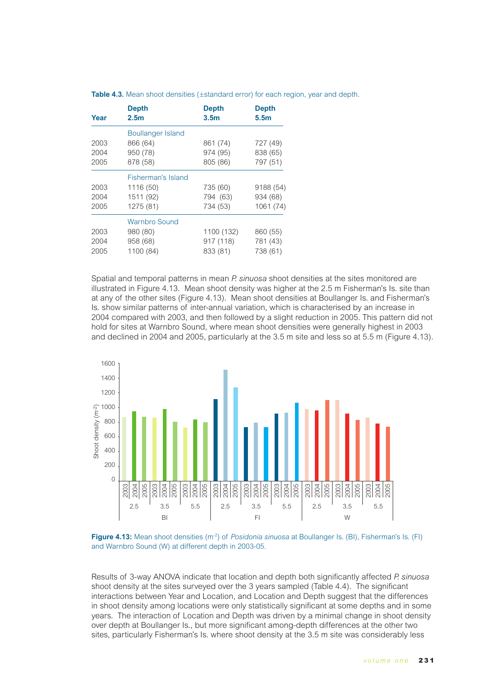| Year | <b>Depth</b><br>2.5 <sub>m</sub> | <b>Depth</b><br>3.5 <sub>m</sub> | <b>Depth</b><br>5.5 <sub>m</sub> |
|------|----------------------------------|----------------------------------|----------------------------------|
|      | <b>Boullanger Island</b>         |                                  |                                  |
| 2003 | 866 (64)                         | 861 (74)                         | 727 (49)                         |
| 2004 | 950 (78)                         | 974 (95)                         | 838 (65)                         |
| 2005 | 878 (58)                         | 805 (86)                         | 797 (51)                         |
|      | Fisherman's Island               |                                  |                                  |
| 2003 | 1116 (50)                        | 735 (60)                         | 9188 (54)                        |
| 2004 | 1511 (92)                        | 794 (63)                         | 934 (68)                         |
| 2005 | 1275 (81)                        | 734 (53)                         | 1061 (74)                        |
|      | Warnbro Sound                    |                                  |                                  |
| 2003 | 980 (80)                         | 1100 (132)                       | 860 (55)                         |
| 2004 | 958 (68)                         | 917 (118)                        | 781 (43)                         |
| 2005 | 1100 (84)                        | 833 (81)                         | 738 (61)                         |

**Table 4.3.** Mean shoot densities (±standard error) for each region, year and depth.

Spatial and temporal patterns in mean *P. sinuosa* shoot densities at the sites monitored are illustrated in Figure 4.13. Mean shoot density was higher at the 2.5 m Fisherman's Is. site than at any of the other sites (Figure 4.13). Mean shoot densities at Boullanger Is. and Fisherman's Is. show similar patterns of inter-annual variation, which is characterised by an increase in 2004 compared with 2003, and then followed by a slight reduction in 2005. This pattern did not hold for sites at Warnbro Sound, where mean shoot densities were generally highest in 2003 and declined in 2004 and 2005, particularly at the 3.5 m site and less so at 5.5 m (Figure 4.13).





Results of 3-way ANOVA indicate that location and depth both significantly affected *P. sinuosa* shoot density at the sites surveyed over the 3 years sampled (Table 4.4). The significant interactions between Year and Location, and Location and Depth suggest that the differences in shoot density among locations were only statistically significant at some depths and in some years. The interaction of Location and Depth was driven by a minimal change in shoot density over depth at Boullanger Is., but more significant among-depth differences at the other two sites, particularly Fisherman's Is. where shoot density at the 3.5 m site was considerably less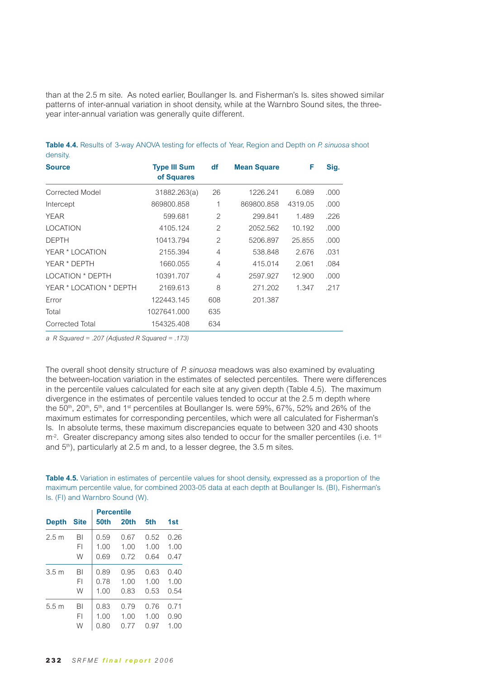than at the 2.5 m site. As noted earlier, Boullanger Is. and Fisherman's Is. sites showed similar patterns of inter-annual variation in shoot density, while at the Warnbro Sound sites, the threeyear inter-annual variation was generally quite different.

| <b>Source</b>           | <b>Type III Sum</b><br>of Squares | df             | <b>Mean Square</b> | F       | Sig. |
|-------------------------|-----------------------------------|----------------|--------------------|---------|------|
| Corrected Model         | 31882.263(a)                      | 26             | 1226.241           | 6.089   | .000 |
| Intercept               | 869800.858                        | 1              | 869800.858         | 4319.05 | .000 |
| YEAR                    | 599.681                           | 2              | 299.841            | 1.489   | .226 |
| <b>LOCATION</b>         | 4105.124                          | 2              | 2052.562           | 10.192  | .000 |
| <b>DEPTH</b>            | 10413.794                         | $\overline{2}$ | 5206.897           | 25.855  | .000 |
| YEAR * LOCATION         | 2155.394                          | $\overline{4}$ | 538.848            | 2.676   | .031 |
| YEAR * DEPTH            | 1660.055                          | $\overline{4}$ | 415.014            | 2.061   | .084 |
| <b>LOCATION * DEPTH</b> | 10391.707                         | $\overline{4}$ | 2597.927           | 12.900  | .000 |
| YEAR * LOCATION * DEPTH | 2169.613                          | 8              | 271.202            | 1.347   | .217 |
| Error                   | 122443.145                        | 608            | 201.387            |         |      |
| Total                   | 1027641.000                       | 635            |                    |         |      |
| Corrected Total         | 154325.408                        | 634            |                    |         |      |

**Table 4.4.** Results of 3-way ANOVA testing for effects of Year, Region and Depth on *P. sinuosa* shoot density.

*a R Squared = .207 (Adjusted R Squared = .173)*

The overall shoot density structure of *P. sinuosa* meadows was also examined by evaluating the between-location variation in the estimates of selected percentiles. There were differences in the percentile values calculated for each site at any given depth (Table 4.5). The maximum divergence in the estimates of percentile values tended to occur at the 2.5 m depth where the 50<sup>th</sup>, 20<sup>th</sup>, 5<sup>th</sup>, and 1<sup>st</sup> percentiles at Boullanger Is. were 59%, 67%, 52% and 26% of the maximum estimates for corresponding percentiles, which were all calculated for Fisherman's Is. In absolute terms, these maximum discrepancies equate to between 320 and 430 shoots m<sup>-2</sup>. Greater discrepancy among sites also tended to occur for the smaller percentiles (i.e. 1<sup>st</sup> and  $5<sup>th</sup>$ ), particularly at 2.5 m and, to a lesser degree, the 3.5 m sites.

**Table 4.5.** Variation in estimates of percentile values for shoot density, expressed as a proportion of the maximum percentile value, for combined 2003-05 data at each depth at Boullanger Is. (BI), Fisherman's Is. (FI) and Warnbro Sound (W).

|                  |             | <b>Percentile</b> |      |      |      |  |  |  |
|------------------|-------------|-------------------|------|------|------|--|--|--|
| <b>Depth</b>     | <b>Site</b> | 50th              | 20th | 5th  | 1st  |  |  |  |
| 2.5 <sub>m</sub> | BI          | 0.59              | 0.67 | 0.52 | 0.26 |  |  |  |
|                  | FI          | 1.00              | 1.00 | 1.00 | 1.00 |  |  |  |
|                  | W           | 0.69              | 0.72 | 0.64 | 0.47 |  |  |  |
| 3.5 <sub>m</sub> | BI          | 0.89              | 0.95 | 0.63 | 0.40 |  |  |  |
|                  | FI          | 0.78              | 1.00 | 1.00 | 1.00 |  |  |  |
|                  | W           | 1.00              | 0.83 | 0.53 | 0.54 |  |  |  |
| 5.5 m            | BI          | 0.83              | 0.79 | 0.76 | 0.71 |  |  |  |
|                  | FI          | 1.00              | 1.00 | 1.00 | 0.90 |  |  |  |
|                  | W           | 0.80              | 0.77 | 0.97 | 1.00 |  |  |  |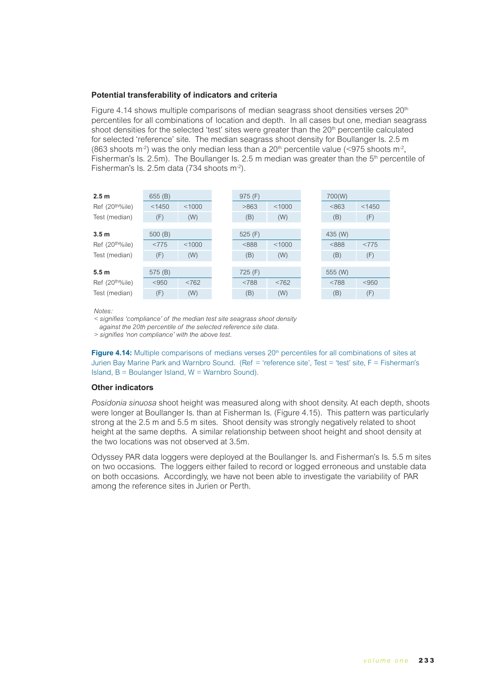## **Potential transferability of indicators and criteria**

Figure 4.14 shows multiple comparisons of median seagrass shoot densities verses  $20<sup>th</sup>$ percentiles for all combinations of location and depth. In all cases but one, median seagrass shoot densities for the selected 'test' sites were greater than the 20<sup>th</sup> percentile calculated for selected 'reference' site. The median seagrass shoot density for Boullanger Is. 2.5 m (863 shoots m<sup>-2</sup>) was the only median less than a 20<sup>th</sup> percentile value (<975 shoots m<sup>-2</sup>, Fisherman's Is. 2.5m). The Boullanger Is. 2.5 m median was greater than the 5<sup>th</sup> percentile of Fisherman's Is. 2.5m data (734 shoots m<sup>-2</sup>).

| 2.5 <sub>m</sub>            | 655 (B) |        | 975(F)    |        | 700(W)  |        |
|-----------------------------|---------|--------|-----------|--------|---------|--------|
| Ref (20 <sup>th%</sup> ile) | < 1450  | < 1000 | >863      | < 1000 | < 863   | < 1450 |
| Test (median)               | (F)     | (W)    | (B)       | (W)    | (B)     | (F)    |
|                             |         |        |           |        |         |        |
| 3.5 <sub>m</sub>            | 500(B)  |        | 525 $(F)$ |        | 435 (W) |        |
| Ref (20 <sup>th%</sup> ile) | <775    | < 1000 | &888      | < 1000 | < 888   | < 775  |
| Test (median)               | (F)     | (W)    | (B)       | (W)    | (B)     | (F)    |
|                             |         |        |           |        |         |        |
| 5.5 <sub>m</sub>            | 575 (B) |        | 725(F)    |        | 555 (W) |        |
| Ref (20 <sup>th%</sup> ile) | < 950   | < 762  | < 788     | < 762  | < 788   | < 950  |
| Test (median)               | (F)     | (W)    | (B)       | (W)    | (B)     | (F)    |

Motes<sup>.</sup>

*SIGNIFIES@COMPLIANCEOF THEMEDIANTESTSITESEAGRASSSHOOTDENSITY*

against the 20th percentile of the selected reference site data.

 $>$  signifies 'non compliance' with the above test.

**Figure 4.14:** Multiple comparisons of medians verses 20<sup>th</sup> percentiles for all combinations of sites at Jurien Bay Marine Park and Warnbro Sound. (Ref = 'reference site', Test = 'test' site, F = Fisherman's Island,  $B = B$ oulanger Island,  $W = W$ arnbro Sound).

### **Other indicators**

*Posidonia sinuosa* shoot height was measured along with shoot density. At each depth, shoots were longer at Boullanger Is. than at Fisherman Is. (Figure 4.15). This pattern was particularly strong at the 2.5 m and 5.5 m sites. Shoot density was strongly negatively related to shoot height at the same depths. A similar relationship between shoot height and shoot density at the two locations was not observed at 3.5m.

Odyssey PAR data loggers were deployed at the Boullanger Is. and Fisherman's Is. 5.5 m sites on two occasions. The loggers either failed to record or logged erroneous and unstable data on both occasions. Accordingly, we have not been able to investigate the variability of PAR among the reference sites in Jurien or Perth.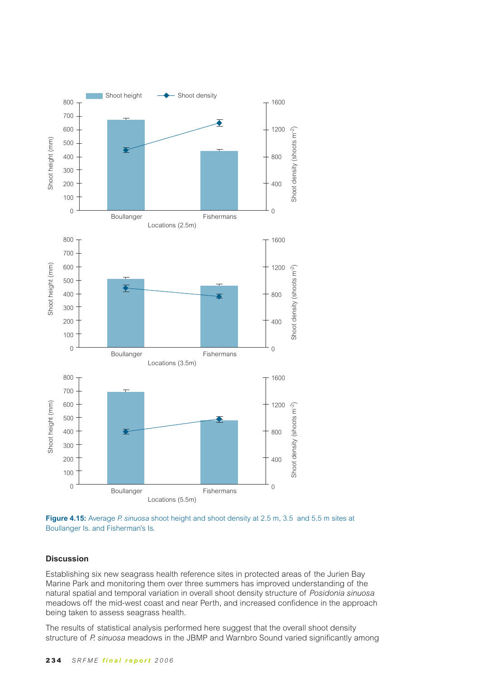

**Figure 4.15:** Average *P. sinuosa* shoot height and shoot density at 2.5 m, 3.5 and 5.5 m sites at Boullanger Is. and Fisherman's Is.

## **Discussion**

Establishing six new seagrass health reference sites in protected areas of the Jurien Bay Marine Park and monitoring them over three summers has improved understanding of the natural spatial and temporal variation in overall shoot density structure of *Posidonia sinuosa*  meadows off the mid-west coast and near Perth, and increased confidence in the approach being taken to assess seagrass health.

The results of statistical analysis performed here suggest that the overall shoot density structure of *P. sinuosa* meadows in the JBMP and Warnbro Sound varied significantly among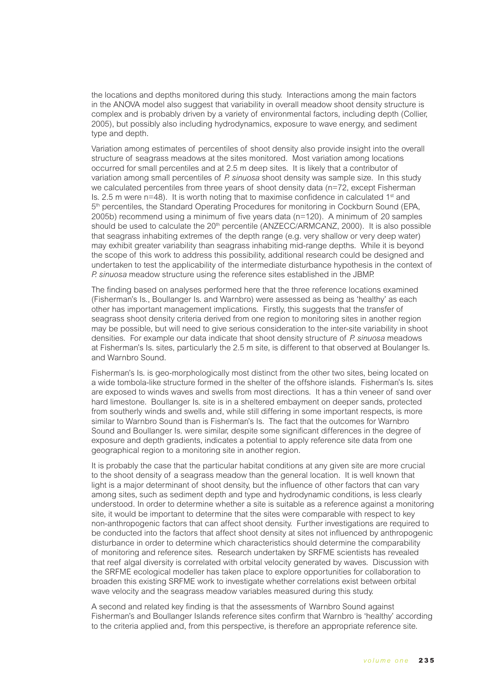the locations and depths monitored during this study. Interactions among the main factors in the ANOVA model also suggest that variability in overall meadow shoot density structure is complex and is probably driven by a variety of environmental factors, including depth (Collier, 2005), but possibly also including hydrodynamics, exposure to wave energy, and sediment type and depth.

Variation among estimates of percentiles of shoot density also provide insight into the overall structure of seagrass meadows at the sites monitored. Most variation among locations occurred for small percentiles and at 2.5 m deep sites. It is likely that a contributor of variation among small percentiles of *P. sinuosa* shoot density was sample size. In this study we calculated percentiles from three years of shoot density data (n=72, except Fisherman Is. 2.5 m were  $n=48$ ). It is worth noting that to maximise confidence in calculated 1<sup>st</sup> and 5<sup>th</sup> percentiles, the Standard Operating Procedures for monitoring in Cockburn Sound (EPA, 2005b) recommend using a minimum of five years data (n=120). A minimum of 20 samples should be used to calculate the  $20<sup>th</sup>$  percentile (ANZECC/ARMCANZ, 2000). It is also possible that seagrass inhabiting extremes of the depth range (e.g. very shallow or very deep water) may exhibit greater variability than seagrass inhabiting mid-range depths. While it is beyond the scope of this work to address this possibility, additional research could be designed and undertaken to test the applicability of the intermediate disturbance hypothesis in the context of *P. sinuosa* meadow structure using the reference sites established in the JBMP.

The finding based on analyses performed here that the three reference locations examined (Fisherman's Is., Boullanger Is. and Warnbro) were assessed as being as 'healthy' as each other has important management implications. Firstly, this suggests that the transfer of seagrass shoot density criteria derived from one region to monitoring sites in another region may be possible, but will need to give serious consideration to the inter-site variability in shoot densities. For example our data indicate that shoot density structure of *P. sinuosa* meadows at Fisherman's Is. sites, particularly the 2.5 m site, is different to that observed at Boulanger Is. and Warnbro Sound.

Fisherman's Is. is geo-morphologically most distinct from the other two sites, being located on a wide tombola-like structure formed in the shelter of the offshore islands. Fisherman's Is. sites are exposed to winds waves and swells from most directions. It has a thin veneer of sand over hard limestone. Boullanger Is. site is in a sheltered embayment on deeper sands, protected from southerly winds and swells and, while still differing in some important respects, is more similar to Warnbro Sound than is Fisherman's Is. The fact that the outcomes for Warnbro Sound and Boullanger Is. were similar, despite some significant differences in the degree of exposure and depth gradients, indicates a potential to apply reference site data from one geographical region to a monitoring site in another region.

It is probably the case that the particular habitat conditions at any given site are more crucial to the shoot density of a seagrass meadow than the general location. It is well known that light is a major determinant of shoot density, but the influence of other factors that can vary among sites, such as sediment depth and type and hydrodynamic conditions, is less clearly understood. In order to determine whether a site is suitable as a reference against a monitoring site, it would be important to determine that the sites were comparable with respect to key non-anthropogenic factors that can affect shoot density. Further investigations are required to be conducted into the factors that affect shoot density at sites not influenced by anthropogenic disturbance in order to determine which characteristics should determine the comparability of monitoring and reference sites. Research undertaken by SRFME scientists has revealed that reef algal diversity is correlated with orbital velocity generated by waves. Discussion with the SRFME ecological modeller has taken place to explore opportunities for collaboration to broaden this existing SRFME work to investigate whether correlations exist between orbital wave velocity and the seagrass meadow variables measured during this study.

A second and related key finding is that the assessments of Warnbro Sound against Fisherman's and Boullanger Islands reference sites confirm that Warnbro is 'healthy' according to the criteria applied and, from this perspective, is therefore an appropriate reference site.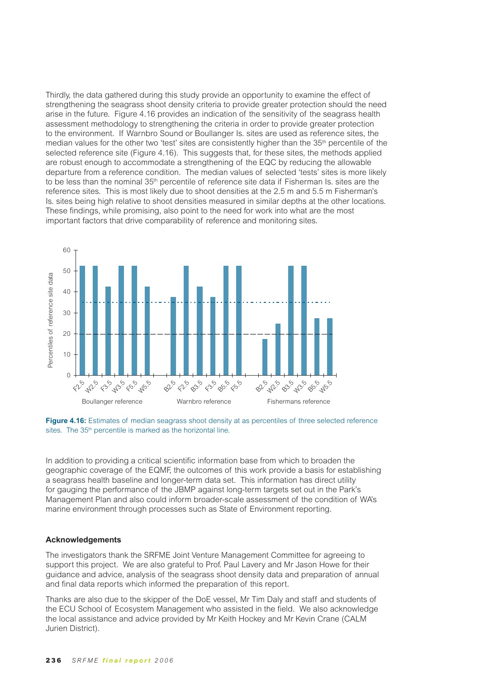Thirdly, the data gathered during this study provide an opportunity to examine the effect of strengthening the seagrass shoot density criteria to provide greater protection should the need arise in the future. Figure 4.16 provides an indication of the sensitivity of the seagrass health assessment methodology to strengthening the criteria in order to provide greater protection to the environment. If Warnbro Sound or Boullanger Is. sites are used as reference sites, the median values for the other two 'test' sites are consistently higher than the 35<sup>th</sup> percentile of the selected reference site (Figure 4.16). This suggests that, for these sites, the methods applied are robust enough to accommodate a strengthening of the EQC by reducing the allowable departure from a reference condition. The median values of selected 'tests' sites is more likely to be less than the nominal 35<sup>th</sup> percentile of reference site data if Fisherman Is. sites are the reference sites. This is most likely due to shoot densities at the 2.5 m and 5.5 m Fisherman's Is. sites being high relative to shoot densities measured in similar depths at the other locations. These findings, while promising, also point to the need for work into what are the most important factors that drive comparability of reference and monitoring sites.



**Figure 4.16:** Estimates of median seagrass shoot density at as percentiles of three selected reference sites. The 35<sup>th</sup> percentile is marked as the horizontal line.

In addition to providing a critical scientific information base from which to broaden the geographic coverage of the EQMF, the outcomes of this work provide a basis for establishing a seagrass health baseline and longer-term data set. This information has direct utility for gauging the performance of the JBMP against long-term targets set out in the Park's Management Plan and also could inform broader-scale assessment of the condition of WA's marine environment through processes such as State of Environment reporting.

### **Acknowledgements**

The investigators thank the SRFME Joint Venture Management Committee for agreeing to support this project. We are also grateful to Prof. Paul Lavery and Mr Jason Howe for their guidance and advice, analysis of the seagrass shoot density data and preparation of annual and final data reports which informed the preparation of this report.

Thanks are also due to the skipper of the DoE vessel, Mr Tim Daly and staff and students of the ECU School of Ecosystem Management who assisted in the field. We also acknowledge the local assistance and advice provided by Mr Keith Hockey and Mr Kevin Crane (CALM Jurien District).